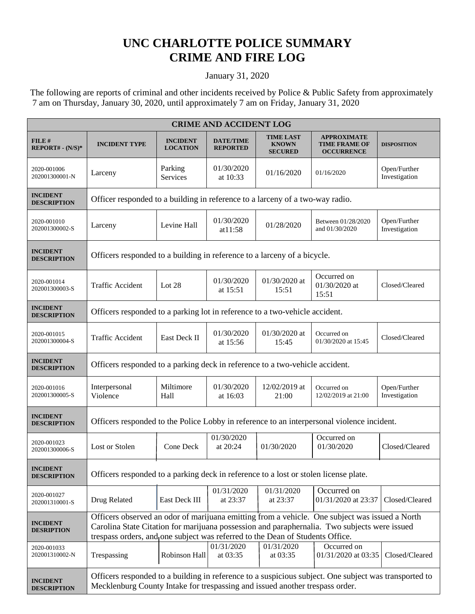## **UNC CHARLOTTE POLICE SUMMARY CRIME AND FIRE LOG**

## January 31, 2020

 The following are reports of criminal and other incidents received by Police & Public Safety from approximately 7 am on Thursday, January 30, 2020, until approximately 7 am on Friday, January 31, 2020

| <b>CRIME AND ACCIDENT LOG</b>         |                                                                                                                                                                                                                                                                                 |                                    |                                     |                                                    |                                                                 |                               |  |
|---------------------------------------|---------------------------------------------------------------------------------------------------------------------------------------------------------------------------------------------------------------------------------------------------------------------------------|------------------------------------|-------------------------------------|----------------------------------------------------|-----------------------------------------------------------------|-------------------------------|--|
| FILE#<br>$REPORT# - (N/S)*$           | <b>INCIDENT TYPE</b>                                                                                                                                                                                                                                                            | <b>INCIDENT</b><br><b>LOCATION</b> | <b>DATE/TIME</b><br><b>REPORTED</b> | <b>TIME LAST</b><br><b>KNOWN</b><br><b>SECURED</b> | <b>APPROXIMATE</b><br><b>TIME FRAME OF</b><br><b>OCCURRENCE</b> | <b>DISPOSITION</b>            |  |
| 2020-001006<br>202001300001-N         | Larceny                                                                                                                                                                                                                                                                         | Parking<br>Services                | 01/30/2020<br>at 10:33              | 01/16/2020                                         | 01/16/2020                                                      | Open/Further<br>Investigation |  |
| <b>INCIDENT</b><br><b>DESCRIPTION</b> | Officer responded to a building in reference to a larceny of a two-way radio.                                                                                                                                                                                                   |                                    |                                     |                                                    |                                                                 |                               |  |
| 2020-001010<br>202001300002-S         | Larceny                                                                                                                                                                                                                                                                         | Levine Hall                        | 01/30/2020<br>at $11:58$            | 01/28/2020                                         | Between 01/28/2020<br>and 01/30/2020                            | Open/Further<br>Investigation |  |
| <b>INCIDENT</b><br><b>DESCRIPTION</b> | Officers responded to a building in reference to a larceny of a bicycle.                                                                                                                                                                                                        |                                    |                                     |                                                    |                                                                 |                               |  |
| 2020-001014<br>202001300003-S         | <b>Traffic Accident</b>                                                                                                                                                                                                                                                         | Lot 28                             | 01/30/2020<br>at 15:51              | 01/30/2020 at<br>15:51                             | Occurred on<br>01/30/2020 at<br>15:51                           | Closed/Cleared                |  |
| <b>INCIDENT</b><br><b>DESCRIPTION</b> | Officers responded to a parking lot in reference to a two-vehicle accident.                                                                                                                                                                                                     |                                    |                                     |                                                    |                                                                 |                               |  |
| 2020-001015<br>202001300004-S         | <b>Traffic Accident</b>                                                                                                                                                                                                                                                         | East Deck II                       | 01/30/2020<br>at 15:56              | 01/30/2020 at<br>15:45                             | Occurred on<br>01/30/2020 at 15:45                              | Closed/Cleared                |  |
| <b>INCIDENT</b><br><b>DESCRIPTION</b> | Officers responded to a parking deck in reference to a two-vehicle accident.                                                                                                                                                                                                    |                                    |                                     |                                                    |                                                                 |                               |  |
| 2020-001016<br>202001300005-S         | Interpersonal<br>Violence                                                                                                                                                                                                                                                       | Miltimore<br>Hall                  | 01/30/2020<br>at 16:03              | 12/02/2019 at<br>21:00                             | Occurred on<br>12/02/2019 at 21:00                              | Open/Further<br>Investigation |  |
| <b>INCIDENT</b><br><b>DESCRIPTION</b> | Officers responded to the Police Lobby in reference to an interpersonal violence incident.                                                                                                                                                                                      |                                    |                                     |                                                    |                                                                 |                               |  |
| 2020-001023<br>202001300006-S         | Lost or Stolen                                                                                                                                                                                                                                                                  | Cone Deck                          | 01/30/2020<br>at 20:24              | 01/30/2020                                         | Occurred on<br>01/30/2020                                       | Closed/Cleared                |  |
| <b>INCIDENT</b><br><b>DESCRIPTION</b> | Officers responded to a parking deck in reference to a lost or stolen license plate.                                                                                                                                                                                            |                                    |                                     |                                                    |                                                                 |                               |  |
| 2020-001027<br>202001310001-S         | Drug Related                                                                                                                                                                                                                                                                    | East Deck III                      | 01/31/2020<br>at 23:37              | 01/31/2020<br>at 23:37                             | Occurred on<br>01/31/2020 at 23:37                              | Closed/Cleared                |  |
| <b>INCIDENT</b><br><b>DESRIPTION</b>  | Officers observed an odor of marijuana emitting from a vehicle. One subject was issued a North<br>Carolina State Citation for marijuana possession and paraphernalia. Two subjects were issued<br>trespass orders, and one subject was referred to the Dean of Students Office. |                                    |                                     |                                                    |                                                                 |                               |  |
| 2020-001033<br>202001310002-N         | Trespassing                                                                                                                                                                                                                                                                     | Robinson Hall                      | 01/31/2020<br>at 03:35              | 01/31/2020<br>at 03:35                             | Occurred on<br>01/31/2020 at 03:35                              | Closed/Cleared                |  |
| <b>INCIDENT</b><br><b>DESCRIPTION</b> | Officers responded to a building in reference to a suspicious subject. One subject was transported to<br>Mecklenburg County Intake for trespassing and issued another trespass order.                                                                                           |                                    |                                     |                                                    |                                                                 |                               |  |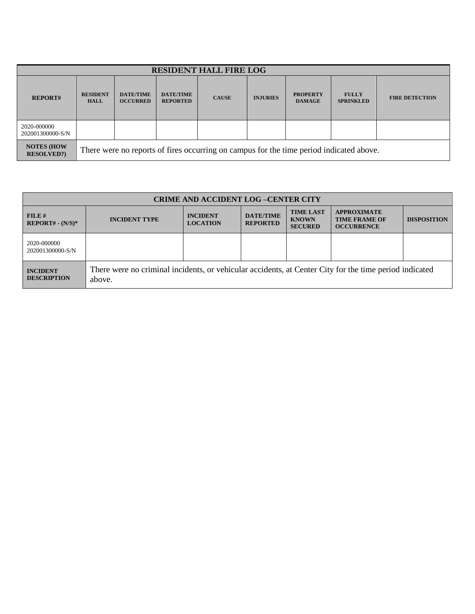| <b>RESIDENT HALL FIRE LOG</b>         |                                                                                         |                                     |                                     |              |                 |                                  |                                  |                       |
|---------------------------------------|-----------------------------------------------------------------------------------------|-------------------------------------|-------------------------------------|--------------|-----------------|----------------------------------|----------------------------------|-----------------------|
| <b>REPORT#</b>                        | <b>RESIDENT</b><br><b>HALL</b>                                                          | <b>DATE/TIME</b><br><b>OCCURRED</b> | <b>DATE/TIME</b><br><b>REPORTED</b> | <b>CAUSE</b> | <b>INJURIES</b> | <b>PROPERTY</b><br><b>DAMAGE</b> | <b>FULLY</b><br><b>SPRINKLED</b> | <b>FIRE DETECTION</b> |
| 2020-000000<br>202001300000-S/N       |                                                                                         |                                     |                                     |              |                 |                                  |                                  |                       |
| <b>NOTES (HOW</b><br><b>RESOLVED?</b> | There were no reports of fires occurring on campus for the time period indicated above. |                                     |                                     |              |                 |                                  |                                  |                       |

| <b>CRIME AND ACCIDENT LOG-CENTER CITY</b> |                                                                                                                  |                                    |                                     |                                                    |                                                                 |                    |  |
|-------------------------------------------|------------------------------------------------------------------------------------------------------------------|------------------------------------|-------------------------------------|----------------------------------------------------|-----------------------------------------------------------------|--------------------|--|
| $FILE$ #<br>$REPORT# - (N/S)*$            | <b>INCIDENT TYPE</b>                                                                                             | <b>INCIDENT</b><br><b>LOCATION</b> | <b>DATE/TIME</b><br><b>REPORTED</b> | <b>TIME LAST</b><br><b>KNOWN</b><br><b>SECURED</b> | <b>APPROXIMATE</b><br><b>TIME FRAME OF</b><br><b>OCCURRENCE</b> | <b>DISPOSITION</b> |  |
| 2020-000000<br>202001300000-S/N           |                                                                                                                  |                                    |                                     |                                                    |                                                                 |                    |  |
| <b>INCIDENT</b><br><b>DESCRIPTION</b>     | There were no criminal incidents, or vehicular accidents, at Center City for the time period indicated<br>above. |                                    |                                     |                                                    |                                                                 |                    |  |